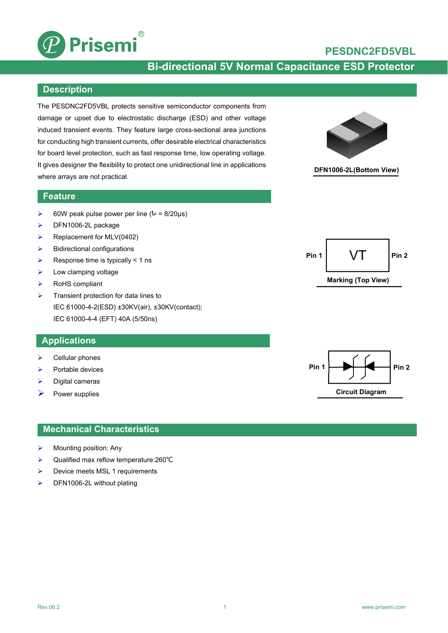

## **PESDNC2FD5VBL**

# **Bi-directional 5V Normal Capacitance ESD Protector**

### **Description**

The PESDNC2FD5VBL protects sensitive semiconductor components from damage or upset due to electrostatic discharge (ESD) and other voltage induced transient events. They feature large cross-sectional area junctions for conducting high transient currents, offer desirable electrical characteristics for board level protection, such as fast response time, low operating voltage. It gives designer the flexibility to protect one unidirectional line in applications where arrays are not practical.



## **DFN1006-2L(Bottom View)**

## **Feature**

- $\geq$  60W peak pulse power per line (t<sub>P</sub> = 8/20µs)
- > DFN1006-2L package
- $\triangleright$  Replacement for MLV(0402)
- $\triangleright$  Bidirectional configurations
- $\triangleright$  Response time is typically < 1 ns
- $\triangleright$  Low clamping voltage
- > RoHS compliant
- $\triangleright$  Transient protection for data lines to IEC 61000-4-2(ESD) ±30KV(air), ±30KV(contact); IEC 61000-4-4 (EFT) 40A (5/50ns)

### **Applications**

- $\triangleright$  Cellular phones
- $\triangleright$  Portable devices
- Digital cameras
- $\triangleright$  Power supplies

### **Mechanical Characteristics**

- $\triangleright$  Mounting position: Any
- Qualified max reflow temperature:260℃
- Device meets MSL 1 requirements
- > DFN1006-2L without plating



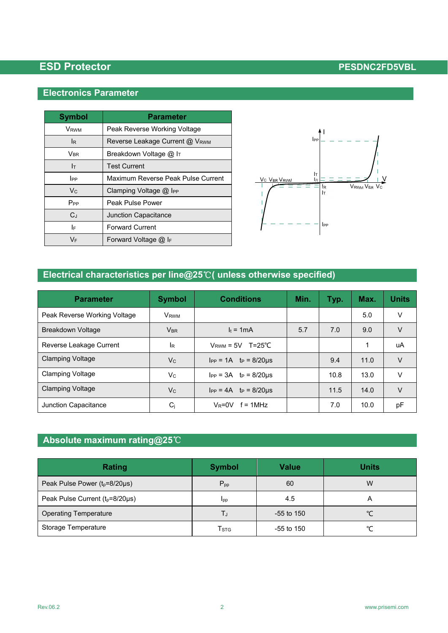## **Electronics Parameter**

| <b>Symbol</b>         | <b>Parameter</b>                   |  |  |
|-----------------------|------------------------------------|--|--|
| Vrwm                  | Peak Reverse Working Voltage       |  |  |
| lR.                   | Reverse Leakage Current @ VRWM     |  |  |
| <b>V<sub>BR</sub></b> | Breakdown Voltage @ IT             |  |  |
| Iт                    | <b>Test Current</b>                |  |  |
| IPP                   | Maximum Reverse Peak Pulse Current |  |  |
| $V_{C}$               | Clamping Voltage $@$ IPP           |  |  |
| P <sub>PP</sub>       | Peak Pulse Power                   |  |  |
| $C_J$                 | <b>Junction Capacitance</b>        |  |  |
| I۴                    | <b>Forward Current</b>             |  |  |
| VF                    | Forward Voltage $@$ I <sub>F</sub> |  |  |



# **Electrical characteristics per line@25**℃**( unless otherwise specified)**

| <b>Parameter</b>             | <b>Symbol</b>           | <b>Conditions</b>                | Min. | Typ. | Max. | <b>Units</b> |
|------------------------------|-------------------------|----------------------------------|------|------|------|--------------|
| Peak Reverse Working Voltage | <b>V</b> <sub>RWM</sub> |                                  |      |      | 5.0  | V            |
| Breakdown Voltage            | <b>V<sub>BR</sub></b>   | $I_t = 1mA$                      | 5.7  | 7.0  | 9.0  | V            |
| Reverse Leakage Current      | lR                      | $V_{\text{RWM}} = 5V$ T=25°C     |      |      | 1    | uA           |
| <b>Clamping Voltage</b>      | $V_C$                   | $I_{PP} = 1A$ $t_P = 8/20 \mu s$ |      | 9.4  | 11.0 | V            |
| <b>Clamping Voltage</b>      | Vc.                     | $I_{PP} = 3A$ $t_P = 8/20 \mu s$ |      | 10.8 | 13.0 | V            |
| <b>Clamping Voltage</b>      | V <sub>c</sub>          | $I_{PP} = 4A$ tp = 8/20us        |      | 11.5 | 14.0 | V            |
| Junction Capacitance         | $C_j$                   | $V_R = 0V$ f = 1MHz              |      | 7.0  | 10.0 | рF           |

# **Absolute maximum rating@25**℃

| <b>Rating</b>                        | <b>Symbol</b>    | <b>Value</b> | <b>Units</b> |
|--------------------------------------|------------------|--------------|--------------|
| Peak Pulse Power $(t_p=8/20\mu s)$   | $P_{\text{pp}}$  | 60           | W            |
| Peak Pulse Current $(t_p=8/20\mu s)$ | <b>Ipp</b>       | 4.5          | А            |
| <b>Operating Temperature</b>         | TJ               | $-55$ to 150 |              |
| Storage Temperature                  | T <sub>STG</sub> | $-55$ to 150 | ∽            |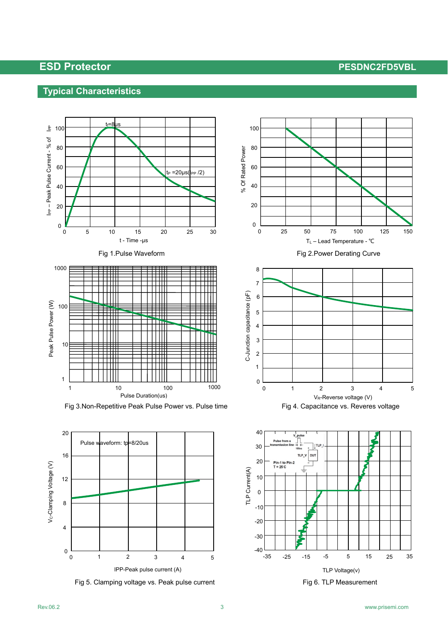## **Typical Characteristics**











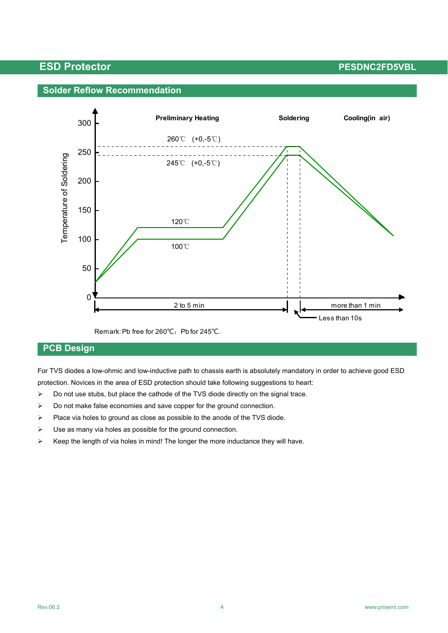## **Solder Reflow Recommendation**



Remark: Pb free for 260℃; Pb for 245℃.

## **PCB Design**

For TVS diodes a low-ohmic and low-inductive path to chassis earth is absolutely mandatory in order to achieve good ESD protection. Novices in the area of ESD protection should take following suggestions to heart:

- $\triangleright$  Do not use stubs, but place the cathode of the TVS diode directly on the signal trace.
- $\triangleright$  Do not make false economies and save copper for the ground connection.
- $\triangleright$  Place via holes to ground as close as possible to the anode of the TVS diode.
- $\triangleright$  Use as many via holes as possible for the ground connection.
- $\triangleright$  Keep the length of via holes in mind! The longer the more inductance they will have.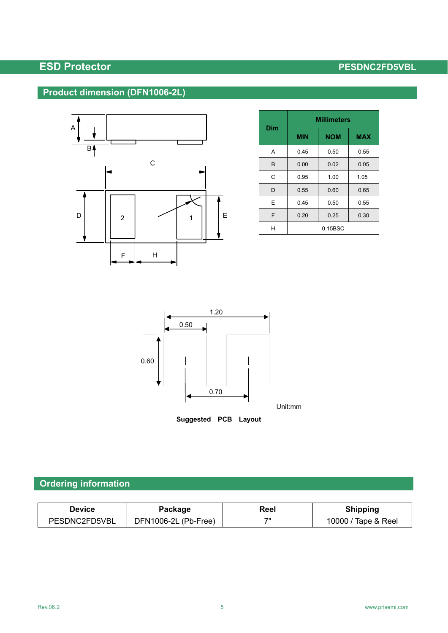# **Product dimension (DFN1006-2L)**



| Dim | <b>Millimeters</b> |            |            |  |
|-----|--------------------|------------|------------|--|
|     | <b>MIN</b>         | <b>NOM</b> | <b>MAX</b> |  |
| A   | 0.45               | 0.50       | 0.55       |  |
| B   | 0.00               | 0.02       | 0.05       |  |
| C   | 0.95               | 1.00       | 1.05       |  |
| D   | 0.55               | 0.60       | 0.65       |  |
| E   | 0.45               | 0.50       | 0.55       |  |
| F   | 0.20               | 0.25       | 0.30       |  |
|     | 0.15BSC            |            |            |  |



## **Ordering information**

| Device        | Package              | Reel | <b>Shipping</b>     |
|---------------|----------------------|------|---------------------|
| PESDNC2FD5VBL | DFN1006-2L (Pb-Free) | 711  | 10000 / Tape & Reel |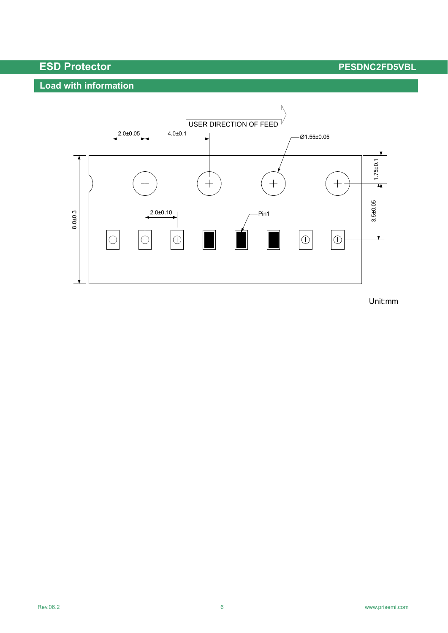# **Load with information**